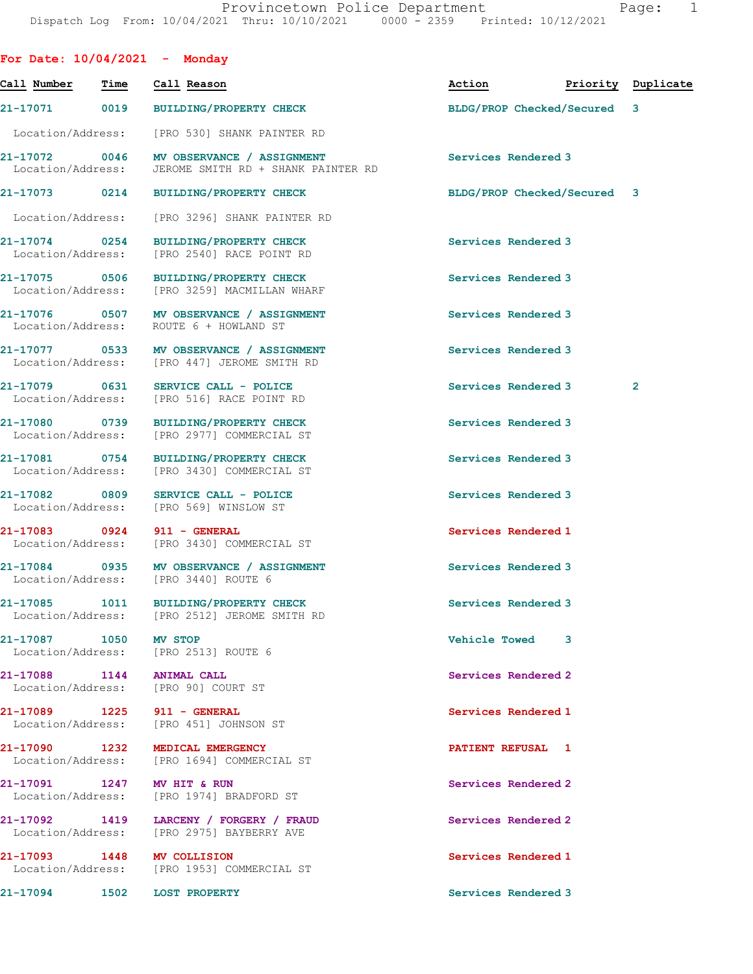|                                    |      | For Date: $10/04/2021$ - Monday                                                                  |                      |                             |                    |
|------------------------------------|------|--------------------------------------------------------------------------------------------------|----------------------|-----------------------------|--------------------|
| Call Number                        | Time | Call Reason                                                                                      | Action               |                             | Priority Duplicate |
| 21-17071 0019                      |      | <b>BUILDING/PROPERTY CHECK</b>                                                                   |                      | BLDG/PROP Checked/Secured 3 |                    |
| Location/Address:                  |      | [PRO 530] SHANK PAINTER RD                                                                       |                      |                             |                    |
|                                    |      | 21-17072 0046 MV OBSERVANCE / ASSIGNMENT<br>Location/Address: JEROME SMITH RD + SHANK PAINTER RD | Services Rendered 3  |                             |                    |
|                                    |      | 21-17073 0214 BUILDING/PROPERTY CHECK                                                            |                      | BLDG/PROP Checked/Secured 3 |                    |
| Location/Address:                  |      | [PRO 3296] SHANK PAINTER RD                                                                      |                      |                             |                    |
| 21-17074 0254<br>Location/Address: |      | <b>BUILDING/PROPERTY CHECK</b><br>[PRO 2540] RACE POINT RD                                       | Services Rendered 3  |                             |                    |
| 21-17075 0506                      |      | <b>BUILDING/PROPERTY CHECK</b><br>Location/Address: [PRO 3259] MACMILLAN WHARF                   | Services Rendered 3  |                             |                    |
| Location/Address:                  |      | 21-17076 0507 MV OBSERVANCE / ASSIGNMENT<br>ROUTE 6 + HOWLAND ST                                 | Services Rendered 3  |                             |                    |
|                                    |      | 21-17077 0533 MV OBSERVANCE / ASSIGNMENT<br>Location/Address: [PRO 447] JEROME SMITH RD          | Services Rendered 3  |                             |                    |
| 21-17079 0631<br>Location/Address: |      | SERVICE CALL - POLICE<br>[PRO 516] RACE POINT RD                                                 | Services Rendered 3  |                             | $\mathbf{2}$       |
|                                    |      | 21-17080 0739 BUILDING/PROPERTY CHECK<br>Location/Address: [PRO 2977] COMMERCIAL ST              | Services Rendered 3  |                             |                    |
| 21-17081 0754                      |      | <b>BUILDING/PROPERTY CHECK</b><br>Location/Address: [PRO 3430] COMMERCIAL ST                     | Services Rendered 3  |                             |                    |
| 21-17082 0809                      |      | SERVICE CALL - POLICE<br>Location/Address: [PRO 569] WINSLOW ST                                  | Services Rendered 3  |                             |                    |
|                                    |      | 21-17083 0924 911 - GENERAL<br>Location/Address: [PRO 3430] COMMERCIAL ST                        | Services Rendered 1  |                             |                    |
| 21-17084 0935                      |      | MV OBSERVANCE / ASSIGNMENT<br>Location/Address: [PRO 3440] ROUTE 6                               | Services Rendered 3  |                             |                    |
|                                    |      | 21-17085 1011 BUILDING/PROPERTY CHECK<br>Location/Address: [PRO 2512] JEROME SMITH RD            | Services Rendered 3  |                             |                    |
| 21-17087 1050 MV STOP              |      | Location/Address: [PRO 2513] ROUTE 6                                                             | <b>Vehicle Towed</b> | 3                           |                    |
|                                    |      | 21-17088 1144 ANIMAL CALL<br>Location/Address: [PRO 90] COURT ST                                 | Services Rendered 2  |                             |                    |
|                                    |      | 21-17089 1225 911 - GENERAL<br>Location/Address: [PRO 451] JOHNSON ST                            | Services Rendered 1  |                             |                    |
|                                    |      | 21-17090 1232 MEDICAL EMERGENCY<br>Location/Address: [PRO 1694] COMMERCIAL ST                    | PATIENT REFUSAL 1    |                             |                    |
|                                    |      | 21-17091 1247 MV HIT & RUN<br>Location/Address: [PRO 1974] BRADFORD ST                           | Services Rendered 2  |                             |                    |
|                                    |      | 21-17092 1419 LARCENY / FORGERY / FRAUD<br>Location/Address: [PRO 2975] BAYBERRY AVE             | Services Rendered 2  |                             |                    |
|                                    |      | 21-17093 1448 MV COLLISION<br>Location/Address: [PRO 1953] COMMERCIAL ST                         | Services Rendered 1  |                             |                    |
|                                    |      | 21-17094 1502 LOST PROPERTY                                                                      | Services Rendered 3  |                             |                    |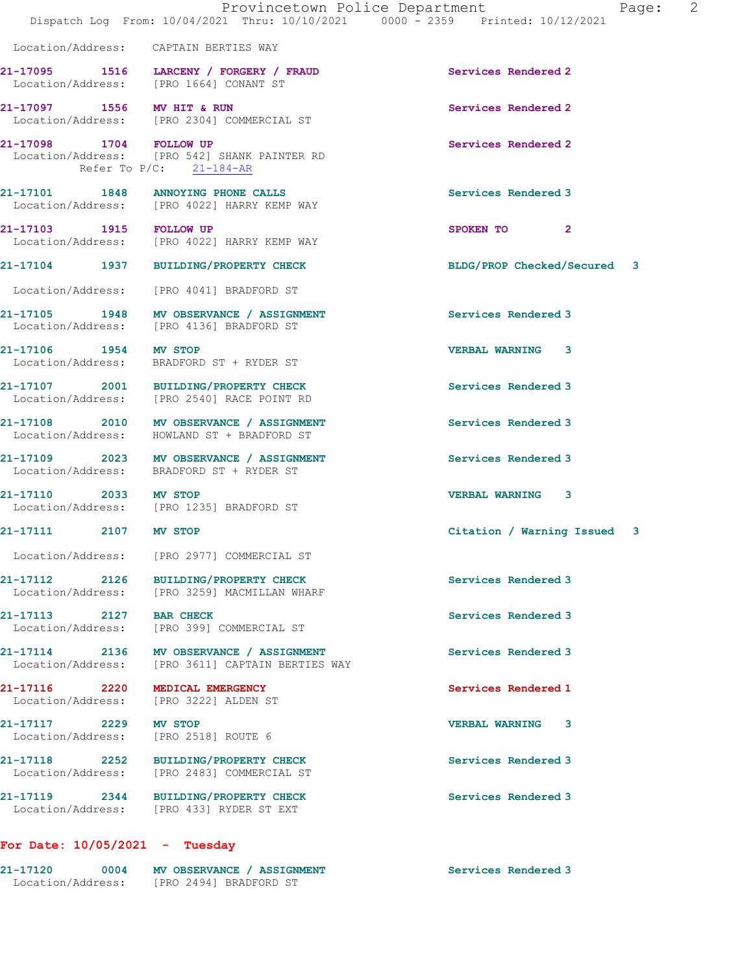21-17095 1516 LARCENY / FORGERY / FRAUD Services Rendered 2

Location/Address: CAPTAIN BERTIES WAY

Location/Address: [PRO 1664] CONANT ST

21-17097 1556 MV HIT & RUN Services Rendered 2<br>
Location/Address: [PRO 2304] COMMERCIAL ST [PRO 2304] COMMERCIAL ST 21-17098 1704 FOLLOW UP **Services Rendered 2 Services Rendered 2 Services Rendered 2** [PRO 542] SHANK PAINTER RD Refer To P/C: 21-184-AR 21-17101 1848 ANNOYING PHONE CALLS Services Rendered 3 Location/Address: [PRO 4022] HARRY KEMP WAY 21-17103 1915 FOLLOW UP 3POKEN TO 2 Location/Address: [PRO 4022] HARRY KEMP WAY 21-17104 1937 BUILDING/PROPERTY CHECK BLDG/PROP Checked/Secured 3 Location/Address: [PRO 4041] BRADFORD ST 21-17105 1948 MV OBSERVANCE / ASSIGNMENT Services Rendered 3 Location/Address: [PRO 4136] BRADFORD ST 21-17106 1954 MV STOP VERBAL WARNING 3 Location/Address: BRADFORD ST + RYDER ST 21-17107 2001 BUILDING/PROPERTY CHECK Services Rendered 3 Location/Address: [PRO 2540] RACE POINT RD 21-17108 2010 MV OBSERVANCE / ASSIGNMENT Services Rendered 3 Location/Address: HOWLAND ST + BRADFORD ST 21-17109 2023 MV OBSERVANCE / ASSIGNMENT Services Rendered 3 Location/Address: BRADFORD ST + RYDER ST 21-17110 2033 MV STOP VERBAL WARNING 3 Location/Address: [PRO 1235] BRADFORD ST 21-17111 2107 MV STOP Citation / Warning Issued 3 Location/Address: [PRO 2977] COMMERCIAL ST 21-17112 2126 BUILDING/PROPERTY CHECK Services Rendered 3 Location/Address: [PRO 3259] MACMILLAN WHARF 21-17113 2127 BAR CHECK Services Rendered 3 Location/Address: [PRO 399] COMMERCIAL ST 21-17114 2136 MV OBSERVANCE / ASSIGNMENT Services Rendered 3 Location/Address: [PRO 3611] CAPTAIN BERTIES WAY 21-17116 2220 MEDICAL EMERGENCY Services Rendered 1 Location/Address: [PRO 3222] ALDEN ST 21-17117 2229 MV STOP VERBAL WARNING 3 Location/Address: [PRO 2518] ROUTE 6 21-17118 2252 BUILDING/PROPERTY CHECK Services Rendered 3 Location/Address: [PRO 2483] COMMERCIAL ST 21-17119 2344 BUILDING/PROPERTY CHECK Services Rendered 3 Location/Address: [PRO 433] RYDER ST EXT For Date: 10/05/2021 - Tuesday 21-17120 0004 MV OBSERVANCE / ASSIGNMENT Services Rendered 3 Location/Address: [PRO 2494] BRADFORD ST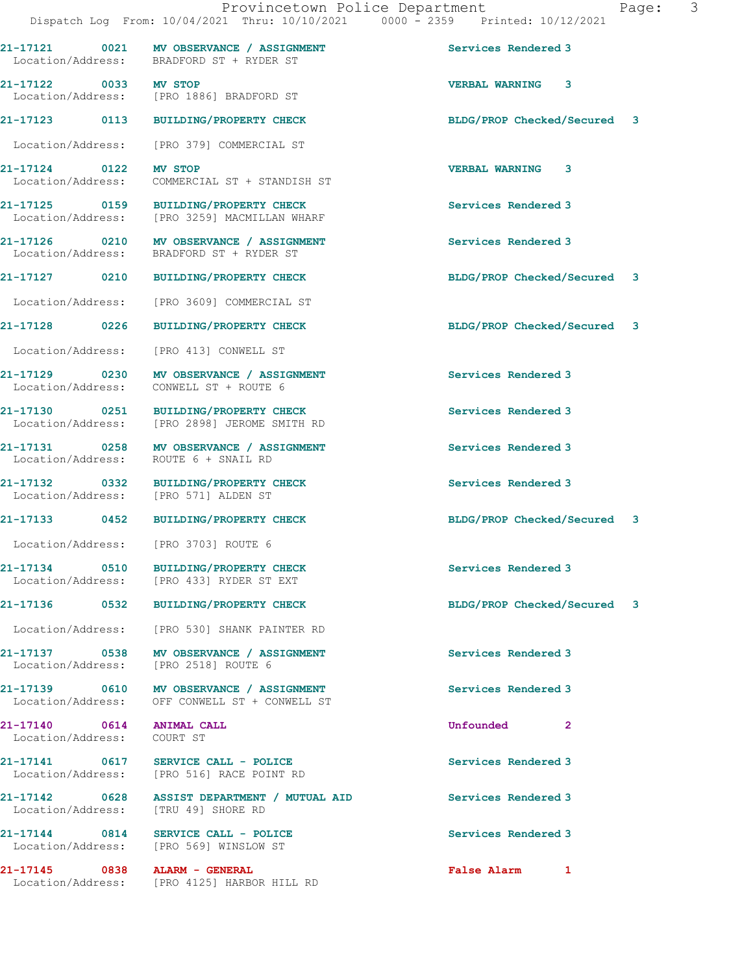|                                                         | 21-17121 0021 MV OBSERVANCE / ASSIGNMENT<br>Location/Address: BRADFORD ST + RYDER ST      | Services Rendered 3         |              |  |
|---------------------------------------------------------|-------------------------------------------------------------------------------------------|-----------------------------|--------------|--|
| 21-17122 0033 MV STOP                                   | Location/Address: [PRO 1886] BRADFORD ST                                                  | <b>VERBAL WARNING 3</b>     |              |  |
|                                                         | 21-17123 0113 BUILDING/PROPERTY CHECK                                                     | BLDG/PROP Checked/Secured 3 |              |  |
|                                                         | Location/Address: [PRO 379] COMMERCIAL ST                                                 |                             |              |  |
| 21-17124 0122                                           | <b>MV STOP</b><br>Location/Address: COMMERCIAL ST + STANDISH ST                           | <b>VERBAL WARNING 3</b>     |              |  |
|                                                         | 21-17125 0159 BUILDING/PROPERTY CHECK<br>Location/Address: [PRO 3259] MACMILLAN WHARF     | Services Rendered 3         |              |  |
|                                                         | 21-17126 0210 MV OBSERVANCE / ASSIGNMENT<br>Location/Address: BRADFORD ST + RYDER ST      | Services Rendered 3         |              |  |
|                                                         | 21-17127 0210 BUILDING/PROPERTY CHECK                                                     | BLDG/PROP Checked/Secured 3 |              |  |
| Location/Address:                                       | [PRO 3609] COMMERCIAL ST                                                                  |                             |              |  |
| 21-17128 0226                                           | <b>BUILDING/PROPERTY CHECK</b>                                                            | BLDG/PROP Checked/Secured 3 |              |  |
|                                                         | Location/Address: [PRO 413] CONWELL ST                                                    |                             |              |  |
| Location/Address:                                       | 21-17129 0230 MV OBSERVANCE / ASSIGNMENT<br>CONWELL ST + ROUTE 6                          | Services Rendered 3         |              |  |
|                                                         | 21-17130 0251 BUILDING/PROPERTY CHECK<br>Location/Address: [PRO 2898] JEROME SMITH RD     | Services Rendered 3         |              |  |
|                                                         | 21-17131 0258 MV OBSERVANCE / ASSIGNMENT<br>Location/Address: ROUTE 6 + SNAIL RD          | Services Rendered 3         |              |  |
|                                                         | 21-17132 0332 BUILDING/PROPERTY CHECK<br>Location/Address: [PRO 571] ALDEN ST             | Services Rendered 3         |              |  |
|                                                         | 21-17133 0452 BUILDING/PROPERTY CHECK                                                     | BLDG/PROP Checked/Secured 3 |              |  |
|                                                         | Location/Address: [PRO 3703] ROUTE 6                                                      |                             |              |  |
| 21-17134 0510                                           | BUILDING/PROPERTY CHECK<br>Location/Address: [PRO 433] RYDER ST EXT                       | Services Rendered 3         |              |  |
|                                                         |                                                                                           | BLDG/PROP Checked/Secured 3 |              |  |
|                                                         | Location/Address: [PRO 530] SHANK PAINTER RD                                              |                             |              |  |
|                                                         | 21-17137 0538 MV OBSERVANCE / ASSIGNMENT<br>Location/Address: [PRO 2518] ROUTE 6          | Services Rendered 3         |              |  |
|                                                         | 21-17139 0610 MV OBSERVANCE / ASSIGNMENT<br>Location/Address: OFF CONWELL ST + CONWELL ST | Services Rendered 3         |              |  |
| 21-17140 0614 ANIMAL CALL<br>Location/Address: COURT ST |                                                                                           | <b>Unfounded</b>            | $\mathbf{2}$ |  |
|                                                         | 21-17141 0617 SERVICE CALL - POLICE<br>Location/Address: [PRO 516] RACE POINT RD          | Services Rendered 3         |              |  |
|                                                         | 21-17142 0628 ASSIST DEPARTMENT / MUTUAL AID<br>Location/Address: [TRU 49] SHORE RD       | Services Rendered 3         |              |  |
|                                                         | $21-17144$ 0814 SERVICE CALL - POLICE<br>Location/Address: [PRO 569] WINSLOW ST           | Services Rendered 3         |              |  |
| 21-17145 0838 ALARM - GENERAL                           | Location/Address: [PRO 4125] HARBOR HILL RD                                               | False Alarm 1               |              |  |
|                                                         |                                                                                           |                             |              |  |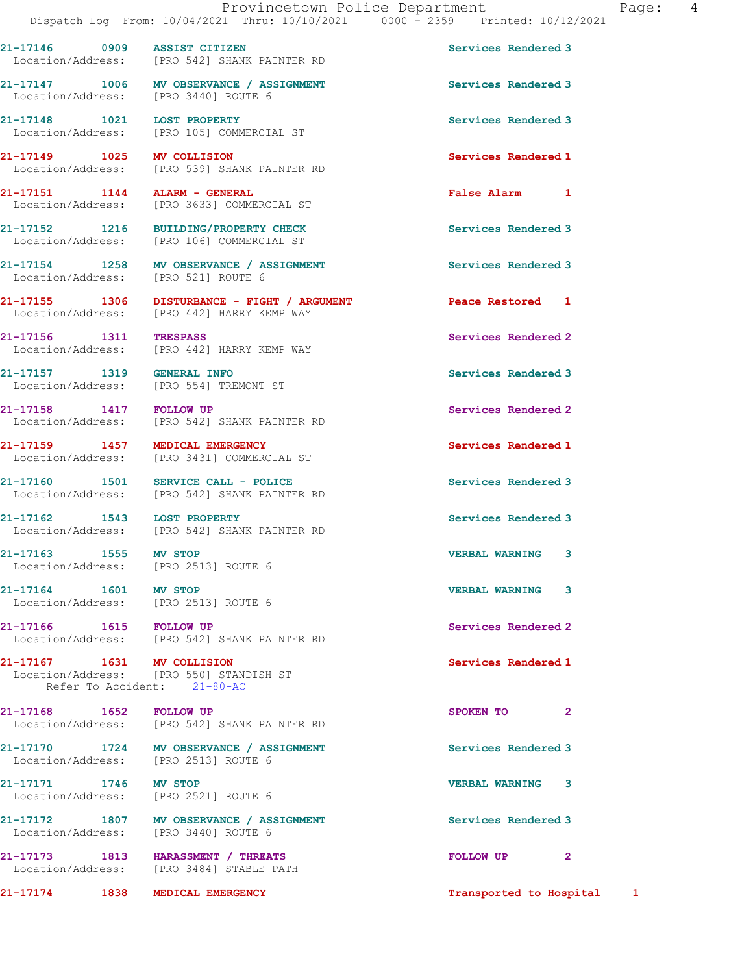21-17146 0909 ASSIST CITIZEN Services Rendered 3 Location/Address: [PRO 542] SHANK PAINTER RD 21-17147 1006 MV OBSERVANCE / ASSIGNMENT Services Rendered 3 Location/Address: [PRO 3440] ROUTE 6 21-17148 1021 LOST PROPERTY Services Rendered 3 Location/Address: [PRO 105] COMMERCIAL ST 21-17149 1025 MV COLLISION 1005 Services Rendered 1 Seculor Services Rendered 1 [PRO 539] SHANK PAINTER RD 21-17151 1144 ALARM - GENERAL False Alarm 1 Location/Address: [PRO 3633] COMMERCIAL ST 21-17152 1216 BUILDING/PROPERTY CHECK Services Rendered 3 Location/Address: [PRO 106] COMMERCIAL ST 21-17154 1258 MV OBSERVANCE / ASSIGNMENT Services Rendered 3 Location/Address: [PRO 521] ROUTE 6 21-17155 1306 DISTURBANCE - FIGHT / ARGUMENT Peace Restored 1 Location/Address: [PRO 442] HARRY KEMP WAY 21-17156 1311 TRESPASS Services Rendered 2 Location/Address: [PRO 442] HARRY KEMP WAY 21-17157 1319 GENERAL INFO Services Rendered 3 Location/Address: [PRO 554] TREMONT ST 21-17158 1417 FOLLOW UP Services Rendered 2 Location/Address: [PRO 542] SHANK PAINTER RD 21-17159 1457 MEDICAL EMERGENCY Services Rendered 1 Location/Address: [PRO 3431] COMMERCIAL ST 21-17160 1501 SERVICE CALL - POLICE 21-17160 Services Rendered 3 Location/Address: [PRO 542] SHANK PAINTER RD 21-17162 1543 LOST PROPERTY Services Rendered 3<br>
Location/Address: [PRO 542] SHANK PAINTER RD [PRO 542] SHANK PAINTER RD 21-17163 1555 MV STOP VERBAL WARNING 3 Location/Address: [PRO 2513] ROUTE 6 21-17164 1601 MV STOP VERBAL WARNING 3 Location/Address: [PRO 2513] ROUTE 6 21-17166 1615 FOLLOW UP Services Rendered 2 Location/Address: [PRO 542] SHANK PAINTER RD 21-17167 1631 MV COLLISION Services Rendered 1 Location/Address: [PRO 550] STANDISH ST Refer To Accident: 21-80-AC 21-17168 1652 FOLLOW UP SPOKEN TO 2 Location/Address: [PRO 542] SHANK PAINTER RD 21-17170 1724 MV OBSERVANCE / ASSIGNMENT Services Rendered 3 Location/Address: [PRO 2513] ROUTE 6 21-17171 1746 MV STOP 1746 21-17171 1746 MV STOP 17171 1746 2521] ROUTE 6 Location/Address: 21-17172 1807 MV OBSERVANCE / ASSIGNMENT Services Rendered 3 Location/Address: [PRO 3440] ROUTE 6 21-17173 1813 HARASSMENT / THREATS **FOLLOW UP** 2 Location/Address: [PRO 3484] STABLE PATH

21-17174 1838 MEDICAL EMERGENCY Transported to Hospital 1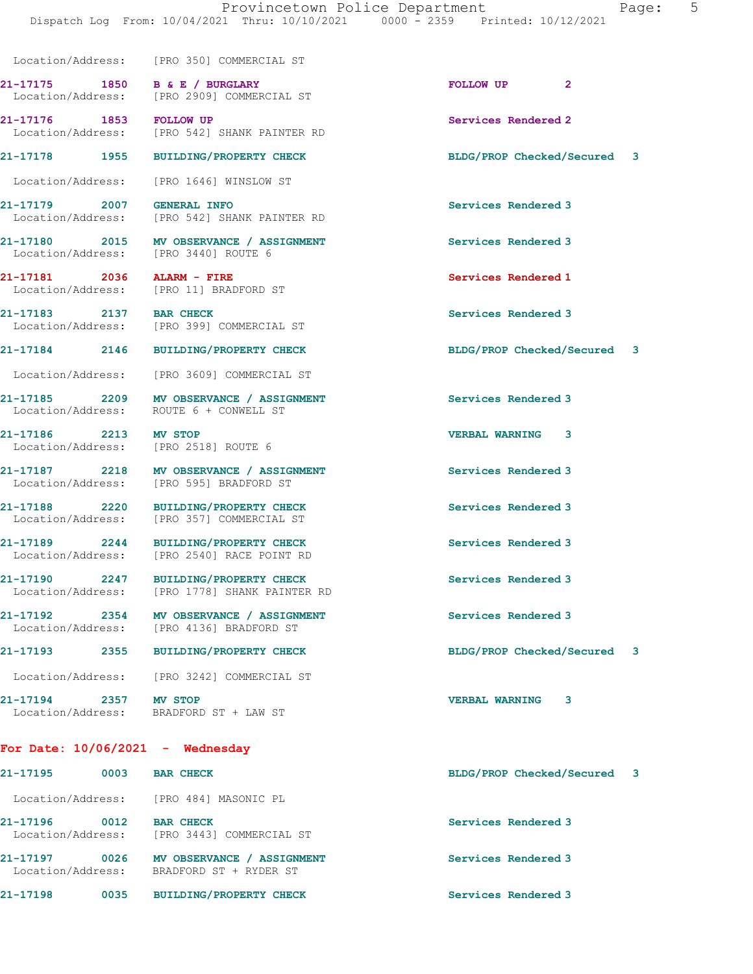Location/Address: [PRO 350] COMMERCIAL ST

21-17175 1850 B & E / BURGLARY **FOLLOW UP** 2 Location/Address: [PRO 2909] COMMERCIAL ST

Location/Address: [PRO 3440] ROUTE 6

21-17186 2213 MV STOP VERBAL WARNING 3

21-17194 2357 MV STOP VERBAL WARNING 3

For Date: 10/06/2021 - Wednesday

21-17195 0003 BAR CHECK BLDG/PROP Checked/Secured 3 Location/Address: [PRO 484] MASONIC PL

21-17196 0012 BAR CHECK Services Rendered 3 Location/Address: [PRO 3443] COMMERCIAL ST

21-17197 0026 MV OBSERVANCE / ASSIGNMENT Services Rendered 3 Location/Address: BRADFORD ST + RYDER ST

21-17198 0035 BUILDING/PROPERTY CHECK Services Rendered 3

21-17176 1853 FOLLOW UP Services Rendered 2 Location/Address: [PRO 542] SHANK PAINTER RD

Location/Address: [PRO 1646] WINSLOW ST

21-17179 2007 GENERAL INFO Services Rendered 3 Location/Address: [PRO 542] SHANK PAINTER RD

21-17180 2015 MV OBSERVANCE / ASSIGNMENT Services Rendered 3

21-17181 2036 ALARM - FIRE 2009 Services Rendered 1 20036 BENGIN BRADEORD ST [PRO 11] BRADFORD ST

21-17183 2137 BAR CHECK Services Rendered 3 Location/Address: [PRO 399] COMMERCIAL ST

Location/Address: [PRO 3609] COMMERCIAL ST

21-17185 2209 MV OBSERVANCE / ASSIGNMENT Services Rendered 3 Location/Address: ROUTE 6 + CONWELL ST

Location/Address: [PRO 2518] ROUTE 6

21-17187 2218 MV OBSERVANCE / ASSIGNMENT Services Rendered 3 Location/Address: [PRO 595] BRADFORD ST

21-17188 2220 BUILDING/PROPERTY CHECK Services Rendered 3<br>
Location/Address: [PRO 357] COMMERCIAL ST [PRO 357] COMMERCIAL ST

21-17189 2244 BUILDING/PROPERTY CHECK Services Rendered 3 Location/Address: [PRO 2540] RACE POINT RD

21-17190 2247 BUILDING/PROPERTY CHECK Services Rendered 3 Location/Address: [PRO 1778] SHANK PAINTER RD

21-17192 2354 MV OBSERVANCE / ASSIGNMENT Services Rendered 3<br>
Location/Address: [PRO 4136] BRADFORD ST [PRO 4136] BRADFORD ST

Location/Address: [PRO 3242] COMMERCIAL ST

BRADFORD ST + LAW ST

21-17178 1955 BUILDING/PROPERTY CHECK BLDG/PROP Checked/Secured 3

21-17184 2146 BUILDING/PROPERTY CHECK BLDG/PROP Checked/Secured 3

21-17193 2355 BUILDING/PROPERTY CHECK BLDG/PROP Checked/Secured 3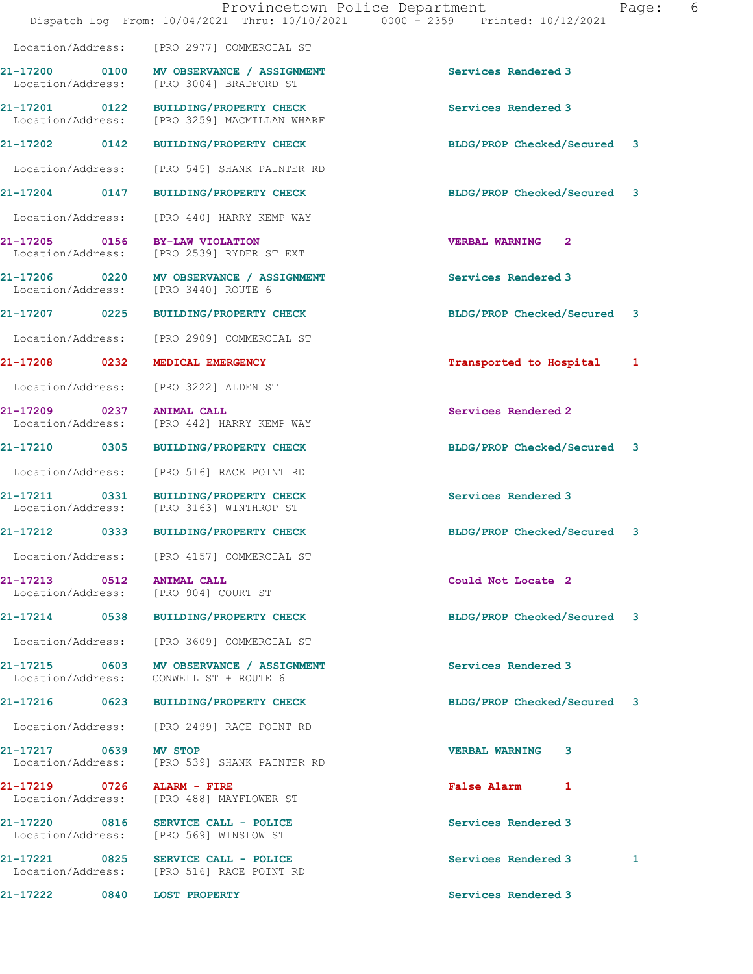|                                                    | Provincetown Police Department<br>Dispatch Log From: 10/04/2021 Thru: 10/10/2021 0000 - 2359 Printed: 10/12/2021 |                                       | Page: | 6 |
|----------------------------------------------------|------------------------------------------------------------------------------------------------------------------|---------------------------------------|-------|---|
|                                                    | Location/Address: [PRO 2977] COMMERCIAL ST                                                                       |                                       |       |   |
|                                                    | 21-17200 0100 MV OBSERVANCE / ASSIGNMENT<br>Location/Address: [PRO 3004] BRADFORD ST                             | Services Rendered 3                   |       |   |
| Location/Address:                                  | 21-17201 0122 BUILDING/PROPERTY CHECK<br>[PRO 3259] MACMILLAN WHARF                                              | Services Rendered 3                   |       |   |
|                                                    | 21-17202 0142 BUILDING/PROPERTY CHECK                                                                            | BLDG/PROP Checked/Secured 3           |       |   |
| Location/Address:                                  | [PRO 545] SHANK PAINTER RD                                                                                       |                                       |       |   |
| 21-17204 0147                                      | <b>BUILDING/PROPERTY CHECK</b>                                                                                   | BLDG/PROP Checked/Secured 3           |       |   |
| Location/Address:                                  | [PRO 440] HARRY KEMP WAY                                                                                         |                                       |       |   |
| 21-17205 0156<br>Location/Address:                 | BY-LAW VIOLATION<br>[PRO 2539] RYDER ST EXT                                                                      | <b>VERBAL WARNING</b><br>$\mathbf{2}$ |       |   |
|                                                    | 21-17206 0220 MV OBSERVANCE / ASSIGNMENT<br>Location/Address: [PRO 3440] ROUTE 6                                 | Services Rendered 3                   |       |   |
|                                                    | 21-17207 0225 BUILDING/PROPERTY CHECK                                                                            | BLDG/PROP Checked/Secured 3           |       |   |
|                                                    | Location/Address: [PRO 2909] COMMERCIAL ST                                                                       |                                       |       |   |
| 21-17208 0232                                      | MEDICAL EMERGENCY                                                                                                | Transported to Hospital               | 1     |   |
| Location/Address:                                  | [PRO 3222] ALDEN ST                                                                                              |                                       |       |   |
| 21-17209<br>$\overline{0237}$<br>Location/Address: | <b>ANIMAL CALL</b><br>[PRO 442] HARRY KEMP WAY                                                                   | Services Rendered 2                   |       |   |
| 21-17210 0305                                      | <b>BUILDING/PROPERTY CHECK</b>                                                                                   | BLDG/PROP Checked/Secured 3           |       |   |
| Location/Address:                                  | [PRO 516] RACE POINT RD                                                                                          |                                       |       |   |
| 0331<br>21-17211                                   | <b>BUILDING/PROPERTY CHECK</b><br>Location/Address: [PRO 3163] WINTHROP ST                                       | Services Rendered 3                   |       |   |
| 21-17212<br>0333                                   | <b>BUILDING/PROPERTY CHECK</b>                                                                                   | BLDG/PROP Checked/Secured 3           |       |   |
| Location/Address:                                  | [PRO 4157] COMMERCIAL ST                                                                                         |                                       |       |   |
| 21-17213 0512 ANIMAL CALL                          | Location/Address: [PRO 904] COURT ST                                                                             | Could Not Locate 2                    |       |   |
|                                                    | 21-17214 0538 BUILDING/PROPERTY CHECK                                                                            | BLDG/PROP Checked/Secured 3           |       |   |
|                                                    | Location/Address: [PRO 3609] COMMERCIAL ST                                                                       |                                       |       |   |
|                                                    | 21-17215 0603 MV OBSERVANCE / ASSIGNMENT<br>Location/Address: CONWELL ST + ROUTE 6                               | Services Rendered 3                   |       |   |
|                                                    | 21-17216 0623 BUILDING/PROPERTY CHECK                                                                            | BLDG/PROP Checked/Secured 3           |       |   |
|                                                    | Location/Address: [PRO 2499] RACE POINT RD                                                                       |                                       |       |   |
| 21-17217 0639 MV STOP                              | Location/Address: [PRO 539] SHANK PAINTER RD                                                                     | <b>VERBAL WARNING</b><br>3            |       |   |
| 21-17219 0726 ALARM - FIRE                         | Location/Address: [PRO 488] MAYFLOWER ST                                                                         | False Alarm 1                         |       |   |
|                                                    | 21-17220 0816 SERVICE CALL - POLICE<br>Location/Address: [PRO 569] WINSLOW ST                                    | Services Rendered 3                   |       |   |
|                                                    | 21-17221 0825 SERVICE CALL - POLICE<br>Location/Address: [PRO 516] RACE POINT RD                                 | Services Rendered 3                   | 1     |   |
| 21-17222 0840 LOST PROPERTY                        |                                                                                                                  | Services Rendered 3                   |       |   |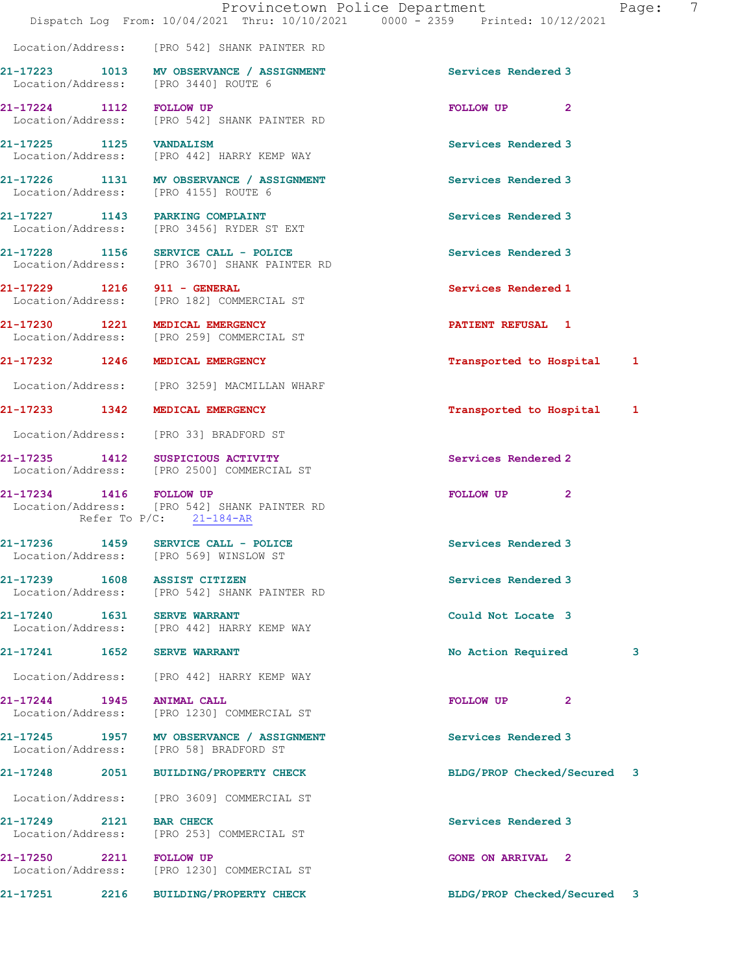|                                    |                                                                                      | Provincetown Police Department<br>Page:<br>Dispatch Log From: 10/04/2021 Thru: 10/10/2021 0000 - 2359 Printed: 10/12/2021 | 7 |
|------------------------------------|--------------------------------------------------------------------------------------|---------------------------------------------------------------------------------------------------------------------------|---|
|                                    | Location/Address: [PRO 542] SHANK PAINTER RD                                         |                                                                                                                           |   |
|                                    | 21-17223 1013 MV OBSERVANCE / ASSIGNMENT<br>Location/Address: [PRO 3440] ROUTE 6     | Services Rendered 3                                                                                                       |   |
| 21-17224 1112 FOLLOW UP            | Location/Address: [PRO 542] SHANK PAINTER RD                                         | FOLLOW UP<br>$\mathbf{2}$                                                                                                 |   |
| 21-17225 1125 VANDALISM            | Location/Address: [PRO 442] HARRY KEMP WAY                                           | Services Rendered 3                                                                                                       |   |
|                                    | 21-17226 1131 MV OBSERVANCE / ASSIGNMENT<br>Location/Address: [PRO 4155] ROUTE 6     | Services Rendered 3                                                                                                       |   |
|                                    | 21-17227 1143 PARKING COMPLAINT<br>Location/Address: [PRO 3456] RYDER ST EXT         | Services Rendered 3                                                                                                       |   |
|                                    | 21-17228 1156 SERVICE CALL - POLICE<br>Location/Address: [PRO 3670] SHANK PAINTER RD | Services Rendered 3                                                                                                       |   |
|                                    | 21-17229 1216 911 - GENERAL<br>Location/Address: [PRO 182] COMMERCIAL ST             | Services Rendered 1                                                                                                       |   |
|                                    | 21-17230 1221 MEDICAL EMERGENCY<br>Location/Address: [PRO 259] COMMERCIAL ST         | <b>PATIENT REFUSAL 1</b>                                                                                                  |   |
|                                    | 21-17232 1246 MEDICAL EMERGENCY                                                      | Transported to Hospital 1                                                                                                 |   |
|                                    | Location/Address: [PRO 3259] MACMILLAN WHARF                                         |                                                                                                                           |   |
|                                    | 21-17233 1342 MEDICAL EMERGENCY                                                      | Transported to Hospital 1                                                                                                 |   |
|                                    | Location/Address: [PRO 33] BRADFORD ST                                               |                                                                                                                           |   |
|                                    | 21-17235 1412 SUSPICIOUS ACTIVITY<br>Location/Address: [PRO 2500] COMMERCIAL ST      | Services Rendered 2                                                                                                       |   |
| 21-17234 1416 FOLLOW UP            | Location/Address: [PRO 542] SHANK PAINTER RD<br>Refer To $P/C$ : 21-184-AR           | FOLLOW UP<br>$\mathbf{2}$                                                                                                 |   |
| Location/Address:                  | 21-17236 1459 SERVICE CALL - POLICE<br>[PRO 569] WINSLOW ST                          | Services Rendered 3                                                                                                       |   |
| 21-17239 1608                      | <b>ASSIST CITIZEN</b><br>Location/Address: [PRO 542] SHANK PAINTER RD                | Services Rendered 3                                                                                                       |   |
| Location/Address:                  | 21-17240   1631   SERVE WARRANT<br>[PRO 442] HARRY KEMP WAY                          | Could Not Locate 3                                                                                                        |   |
| 21-17241                           | 1652 SERVE WARRANT                                                                   | No Action Required<br>3                                                                                                   |   |
| Location/Address:                  | [PRO 442] HARRY KEMP WAY                                                             |                                                                                                                           |   |
| 21-17244 1945<br>Location/Address: | <b>ANIMAL CALL</b><br>[PRO 1230] COMMERCIAL ST                                       | FOLLOW UP<br>2                                                                                                            |   |
|                                    | 21-17245 1957 MV OBSERVANCE / ASSIGNMENT<br>Location/Address: [PRO 58] BRADFORD ST   | Services Rendered 3                                                                                                       |   |
| 21-17248                           | 2051 BUILDING/PROPERTY CHECK                                                         | BLDG/PROP Checked/Secured 3                                                                                               |   |

Location/Address: [PRO 3609] COMMERCIAL ST

21-17249 2121 BAR CHECK Services Rendered 3 Location/Address: [PRO 253] COMMERCIAL ST

Location/Address: [PRO 1230] COMMERCIAL ST

21-17250 2211 FOLLOW UP CONE CONE ON ARRIVAL 2

21-17251 2216 BUILDING/PROPERTY CHECK BLDG/PROP Checked/Secured 3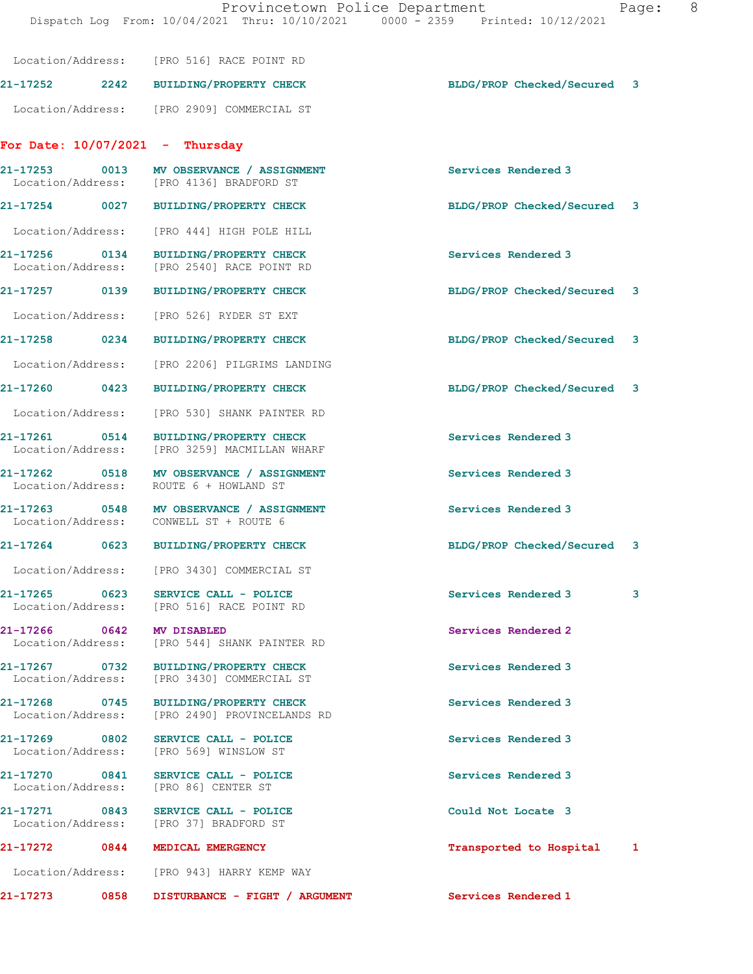|                                                         |      | Location/Address: [PRO 516] RACE POINT RD                                       |                             |   |
|---------------------------------------------------------|------|---------------------------------------------------------------------------------|-----------------------------|---|
|                                                         |      | 21-17252 2242 BUILDING/PROPERTY CHECK                                           | BLDG/PROP Checked/Secured 3 |   |
|                                                         |      | Location/Address: [PRO 2909] COMMERCIAL ST                                      |                             |   |
| For Date: $10/07/2021$ - Thursday                       |      |                                                                                 |                             |   |
| Location/Address: [PRO 4136] BRADFORD ST                |      | 21-17253 0013 MV OBSERVANCE / ASSIGNMENT                                        | Services Rendered 3         |   |
| 21-17254 0027                                           |      | <b>BUILDING/PROPERTY CHECK</b>                                                  | BLDG/PROP Checked/Secured 3 |   |
| Location/Address:                                       |      | [PRO 444] HIGH POLE HILL                                                        |                             |   |
| 21-17256 0134<br>Location/Address:                      |      | <b>BUILDING/PROPERTY CHECK</b><br>[PRO 2540] RACE POINT RD                      | Services Rendered 3         |   |
| 21-17257 0139                                           |      | <b>BUILDING/PROPERTY CHECK</b>                                                  | BLDG/PROP Checked/Secured 3 |   |
| Location/Address: [PRO 526] RYDER ST EXT                |      |                                                                                 |                             |   |
| 21-17258 0234                                           |      | <b>BUILDING/PROPERTY CHECK</b>                                                  | BLDG/PROP Checked/Secured 3 |   |
| Location/Address:                                       |      | [PRO 2206] PILGRIMS LANDING                                                     |                             |   |
| 21-17260 0423                                           |      | <b>BUILDING/PROPERTY CHECK</b>                                                  | BLDG/PROP Checked/Secured 3 |   |
| Location/Address:                                       |      | [PRO 530] SHANK PAINTER RD                                                      |                             |   |
| 21-17261 0514<br>Location/Address:                      |      | <b>BUILDING/PROPERTY CHECK</b><br>[PRO 3259] MACMILLAN WHARF                    | Services Rendered 3         |   |
| 21-17262 0518<br>Location/Address:                      |      | MV OBSERVANCE / ASSIGNMENT<br>ROUTE 6 + HOWLAND ST                              | Services Rendered 3         |   |
| Location/Address: CONWELL ST + ROUTE 6                  |      | 21-17263 0548 MV OBSERVANCE / ASSIGNMENT                                        | Services Rendered 3         |   |
|                                                         |      | 21-17264 0623 BUILDING/PROPERTY CHECK                                           | BLDG/PROP Checked/Secured 3 |   |
|                                                         |      | Location/Address: [PRO 3430] COMMERCIAL ST                                      |                             |   |
| 21-17265<br>0623                                        |      | SERVICE CALL - POLICE<br>Location/Address: [PRO 516] RACE POINT RD              | Services Rendered 3         | 3 |
| 21-17266 0642                                           |      | MV DISABLED<br>Location/Address: [PRO 544] SHANK PAINTER RD                     | Services Rendered 2         |   |
| 21-17267 0732<br>Location/Address:                      |      | BUILDING/PROPERTY CHECK<br>[PRO 3430] COMMERCIAL ST                             | Services Rendered 3         |   |
| 21-17268 0745                                           |      | <b>BUILDING/PROPERTY CHECK</b><br>Location/Address: [PRO 2490] PROVINCELANDS RD | Services Rendered 3         |   |
| 21-17269 0802<br>Location/Address:                      |      | SERVICE CALL - POLICE<br>[PRO 569] WINSLOW ST                                   | Services Rendered 3         |   |
| 21-17270 0841<br>Location/Address: [PRO 86] CENTER ST   |      | SERVICE CALL - POLICE                                                           | Services Rendered 3         |   |
| 21-17271 0843<br>Location/Address: [PRO 37] BRADFORD ST |      | SERVICE CALL - POLICE                                                           | Could Not Locate 3          |   |
| 21-17272 0844                                           |      | MEDICAL EMERGENCY                                                               | Transported to Hospital 1   |   |
|                                                         |      | Location/Address: [PRO 943] HARRY KEMP WAY                                      |                             |   |
| 21-17273                                                | 0858 | DISTURBANCE - FIGHT / ARGUMENT                                                  | Services Rendered 1         |   |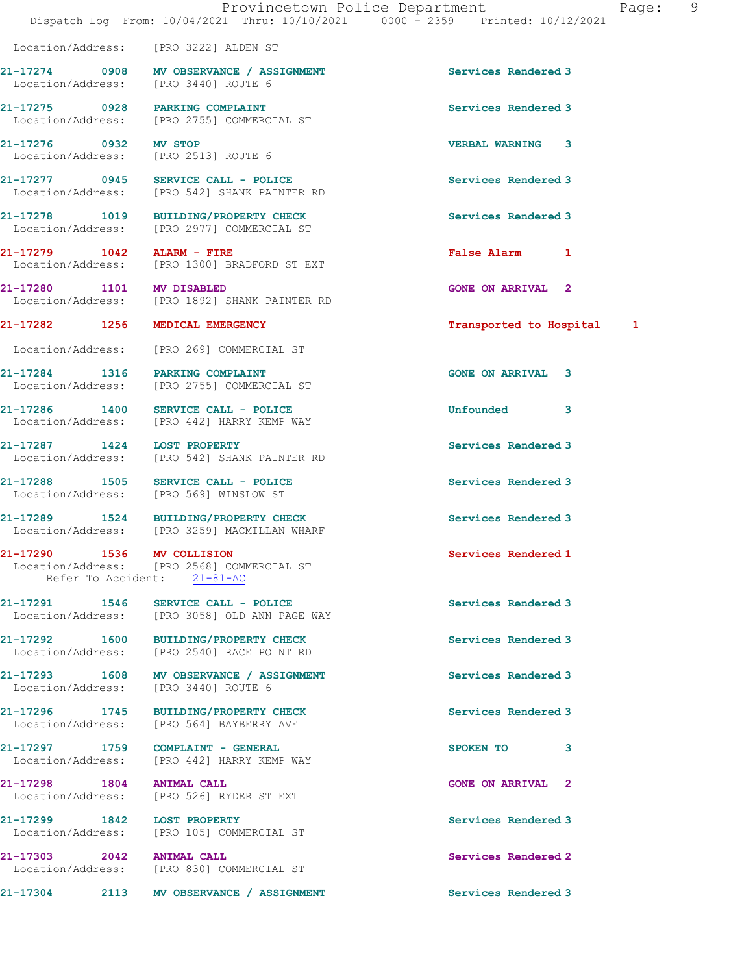Location/Address: [PRO 3222] ALDEN ST

21-17274 0908 MV OBSERVANCE / ASSIGNMENT Services Rendered 3 Location/Address: [PRO 3440] ROUTE 6

21-17275 0928 PARKING COMPLAINT Services Rendered 3 Location/Address: [PRO 2755] COMMERCIAL ST

21-17276 0932 MV STOP VERBAL WARNING 3

21-17290 1536 MV COLLISION 21-17290 Services Rendered 1 Location/Address: [PRO 2568] COMMERCIAL ST Refer To Accident: 21-81-AC

21-17291 1546 SERVICE CALL - POLICE 21-17291 Services Rendered 3

Location/Address: [PRO 2540] RACE POINT RD

21-17293 1608 MV OBSERVANCE / ASSIGNMENT Services Rendered 3

21-17296 1745 BUILDING/PROPERTY CHECK Services Rendered 3 Location/Address: [PRO 564] BAYBERRY AVE

Location/Address: [PRO 442] HARRY KEMP WAY

Location/Address: [PRO 526] RYDER ST EXT

21-17299 1842 LOST PROPERTY Services Rendered 3

21-17303 2042 ANIMAL CALL Services Rendered 2 Location/Address: [PRO 830] COMMERCIAL ST

 Location/Address: [PRO 2513] ROUTE 6 21-17277 0945 SERVICE CALL - POLICE SERVICE Services Rendered 3<br>
Location/Address: [PRO 542] SHANK PAINTER RD Location/Address: [PRO 542] SHANK PAINTER RD

21-17278 1019 BUILDING/PROPERTY CHECK Services Rendered 3 Location/Address: [PRO 2977] COMMERCIAL ST

21-17279 1042 ALARM - FIRE False Alarm 1 Location/Address: [PRO 1300] BRADFORD ST EXT

21-17280 1101 MV DISABLED GONE ON ARRIVAL 2 Location/Address: [PRO 1892] SHANK PAINTER RD

Location/Address: [PRO 269] COMMERCIAL ST

21-17284 1316 PARKING COMPLAINT GONE ON ARRIVAL 3 Location/Address: [PRO 2755] COMMERCIAL ST

21-17286 1400 SERVICE CALL - POLICE 21-17286 Unfounded 3 Location/Address: [PRO 442] HARRY KEMP WAY

21-17287 1424 LOST PROPERTY Services Rendered 3 Location/Address: [PRO 542] SHANK PAINTER RD

21-17288 1505 SERVICE CALL - POLICE 1505 Services Rendered 3 Location/Address: [PRO 569] WINSLOW ST

21-17289 1524 BUILDING/PROPERTY CHECK Services Rendered 3<br>
Location/Address: [PRO 3259] MACMILLAN WHARF [PRO 3259] MACMILLAN WHARF

Location/Address: [PRO 3058] OLD ANN PAGE WAY

21-17292 1600 BUILDING/PROPERTY CHECK Services Rendered 3

Location/Address: [PRO 3440] ROUTE 6

21-17297 1759 COMPLAINT - GENERAL SPOKEN TO 3

21-17298 1804 ANIMAL CALL GONE ON ARRIVAL 2

Location/Address: [PRO 105] COMMERCIAL ST

21-17304 2113 MV OBSERVANCE / ASSIGNMENT Services Rendered 3

21-17282 1256 MEDICAL EMERGENCY Transported to Hospital 1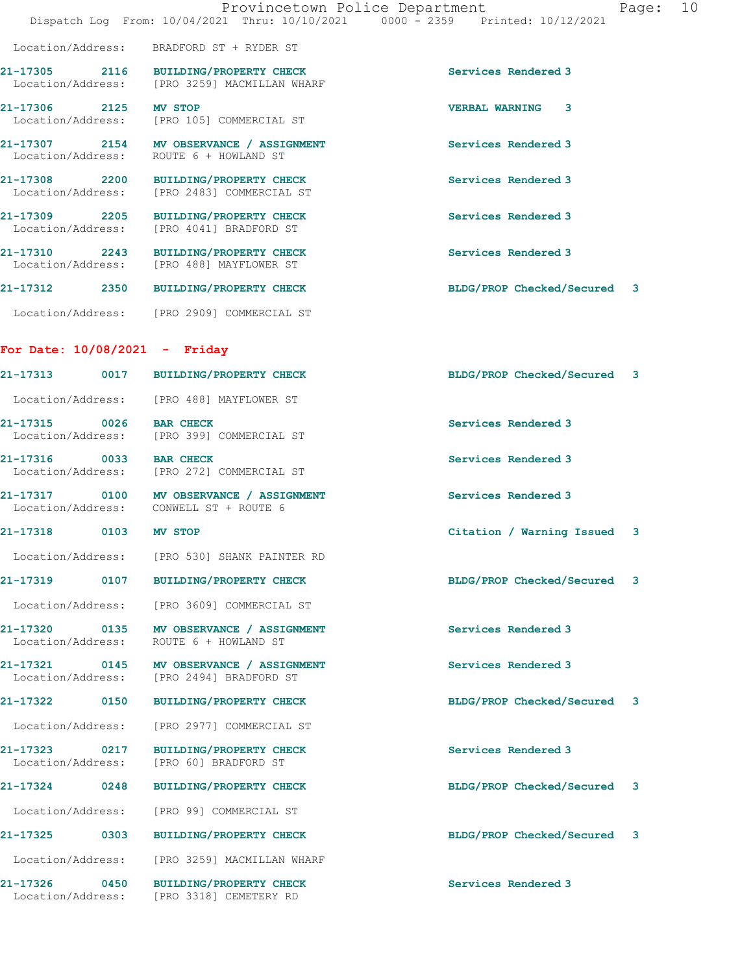|                                    |                                                                                       | Provincetown Police Department<br>Page: 10<br>Dispatch Log From: 10/04/2021 Thru: 10/10/2021 0000 - 2359 Printed: 10/12/2021 |  |
|------------------------------------|---------------------------------------------------------------------------------------|------------------------------------------------------------------------------------------------------------------------------|--|
|                                    | Location/Address: BRADFORD ST + RYDER ST                                              |                                                                                                                              |  |
|                                    | 21-17305 2116 BUILDING/PROPERTY CHECK<br>Location/Address: [PRO 3259] MACMILLAN WHARF | Services Rendered 3                                                                                                          |  |
| 21-17306 2125 MV STOP              | Location/Address: [PRO 105] COMMERCIAL ST                                             | <b>VERBAL WARNING 3</b>                                                                                                      |  |
|                                    | 21-17307 2154 MV OBSERVANCE / ASSIGNMENT<br>Location/Address: ROUTE 6 + HOWLAND ST    | Services Rendered 3                                                                                                          |  |
|                                    | 21-17308 2200 BUILDING/PROPERTY CHECK<br>Location/Address: [PRO 2483] COMMERCIAL ST   | Services Rendered 3                                                                                                          |  |
|                                    | 21-17309 2205 BUILDING/PROPERTY CHECK<br>Location/Address: [PRO 4041] BRADFORD ST     | Services Rendered 3                                                                                                          |  |
|                                    | 21-17310 2243 BUILDING/PROPERTY CHECK<br>Location/Address: [PRO 488] MAYFLOWER ST     | Services Rendered 3                                                                                                          |  |
|                                    | 21-17312 2350 BUILDING/PROPERTY CHECK                                                 | BLDG/PROP Checked/Secured 3                                                                                                  |  |
|                                    | Location/Address: [PRO 2909] COMMERCIAL ST                                            |                                                                                                                              |  |
| For Date: 10/08/2021 - Friday      |                                                                                       |                                                                                                                              |  |
|                                    | 21-17313 0017 BUILDING/PROPERTY CHECK                                                 | BLDG/PROP Checked/Secured 3                                                                                                  |  |
|                                    | Location/Address: [PRO 488] MAYFLOWER ST                                              |                                                                                                                              |  |
|                                    | 21-17315 0026 BAR CHECK<br>Location/Address: [PRO 399] COMMERCIAL ST                  | Services Rendered 3                                                                                                          |  |
| 21-17316 0033 BAR CHECK            | Location/Address: [PRO 272] COMMERCIAL ST                                             | Services Rendered 3                                                                                                          |  |
|                                    | 21-17317 0100 MV OBSERVANCE / ASSIGNMENT<br>Location/Address: CONWELL ST + ROUTE 6    | Services Rendered 3                                                                                                          |  |
| 21-17318                           | 0103 MV STOP                                                                          | Citation / Warning Issued 3                                                                                                  |  |
|                                    | Location/Address: [PRO 530] SHANK PAINTER RD                                          |                                                                                                                              |  |
| 0107<br>21-17319                   | BUILDING/PROPERTY CHECK                                                               | BLDG/PROP Checked/Secured 3                                                                                                  |  |
|                                    | Location/Address: [PRO 3609] COMMERCIAL ST                                            |                                                                                                                              |  |
| Location/Address:                  | 21-17320 0135 MV OBSERVANCE / ASSIGNMENT<br>ROUTE 6 + HOWLAND ST                      | Services Rendered 3                                                                                                          |  |
| Location/Address:                  | 21-17321 0145 MV OBSERVANCE / ASSIGNMENT<br>[PRO 2494] BRADFORD ST                    | Services Rendered 3                                                                                                          |  |
| 21-17322 0150                      | BUILDING/PROPERTY CHECK                                                               | BLDG/PROP Checked/Secured 3                                                                                                  |  |
| Location/Address:                  | [PRO 2977] COMMERCIAL ST                                                              |                                                                                                                              |  |
| 21-17323 0217<br>Location/Address: | <b>BUILDING/PROPERTY CHECK</b><br>[PRO 60] BRADFORD ST                                | Services Rendered 3                                                                                                          |  |
| 0248<br>21-17324                   | <b>BUILDING/PROPERTY CHECK</b>                                                        | BLDG/PROP Checked/Secured<br>3                                                                                               |  |

Location/Address: [PRO 99] COMMERCIAL ST

21-17325 0303 BUILDING/PROPERTY CHECK BLDG/PROP Checked/Secured 3 Location/Address: [PRO 3259] MACMILLAN WHARF

21-17326 0450 BUILDING/PROPERTY CHECK Services Rendered 3 Location/Address: [PRO 3318] CEMETERY RD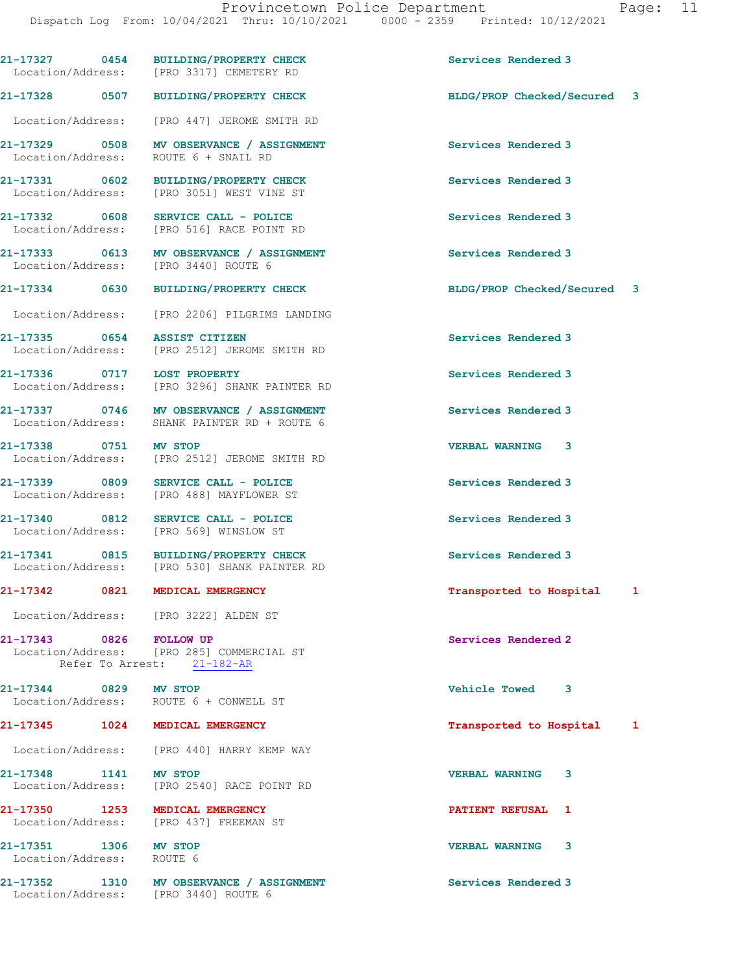21-17327 0454 BUILDING/PROPERTY CHECK Services Rendered 3 Location/Address: [PRO 3317] CEMETERY RD 21-17328 0507 BUILDING/PROPERTY CHECK BLDG/PROP Checked/Secured 3 Location/Address: [PRO 447] JEROME SMITH RD 21-17329 0508 MV OBSERVANCE / ASSIGNMENT Services Rendered 3 Location/Address: ROUTE 6 + SNAIL RD 21-17331 0602 BUILDING/PROPERTY CHECK Services Rendered 3 Location/Address: [PRO 3051] WEST VINE ST 21-17332 0608 SERVICE CALL - POLICE Services Rendered 3 Location/Address: [PRO 516] RACE POINT RD 21-17333 0613 MV OBSERVANCE / ASSIGNMENT Services Rendered 3 Location/Address: [PRO 3440] ROUTE 6 21-17334 0630 BUILDING/PROPERTY CHECK BLDG/PROP Checked/Secured 3 Location/Address: [PRO 2206] PILGRIMS LANDING 21-17335 0654 ASSIST CITIZEN (2008) 21-17335 0654 Services Rendered 3<br>
Location/Address: [PRO 2512] JEROME SMITH RD [PRO 2512] JEROME SMITH RD 21-17336 0717 LOST PROPERTY Services Rendered 3 Location/Address: [PRO 3296] SHANK PAINTER RD 21-17337 0746 MV OBSERVANCE / ASSIGNMENT Services Rendered 3 Location/Address: SHANK PAINTER RD + ROUTE 6 21-17338 0751 MV STOP VERBAL WARNING 3 Location/Address: [PRO 2512] JEROME SMITH RD 21-17339 0809 SERVICE CALL - POLICE Services Rendered 3 Location/Address: [PRO 488] MAYFLOWER ST 21-17340 0812 SERVICE CALL - POLICE Services Rendered 3 Location/Address: [PRO 569] WINSLOW ST 21-17341 0815 BUILDING/PROPERTY CHECK Services Rendered 3 Location/Address: [PRO 530] SHANK PAINTER RD 21-17342 0821 MEDICAL EMERGENCY Transported to Hospital 1 Location/Address: [PRO 3222] ALDEN ST 21-17343 0826 FOLLOW UP Services Rendered 2 Location/Address: [PRO 285] COMMERCIAL ST Refer To Arrest: 21-182-AR 21-17344 0829 MV STOP Vehicle Towed 3 Location/Address: ROUTE 6 + CONWELL ST 21-17345 1024 MEDICAL EMERGENCY Transported to Hospital 1 Location/Address: [PRO 440] HARRY KEMP WAY 21-17348 1141 MV STOP VERBAL WARNING 3 Location/Address: [PRO 2540] RACE POINT RD 21-17350 1253 MEDICAL EMERGENCY PATIENT REFUSAL 1 [PRO 437] FREEMAN ST 21-17351 1306 MV STOP VERBAL WARNING 3 Location/Address: ROUTE 6 21-17352 1310 MV OBSERVANCE / ASSIGNMENT Services Rendered 3 Location/Address: [PRO 3440] ROUTE 6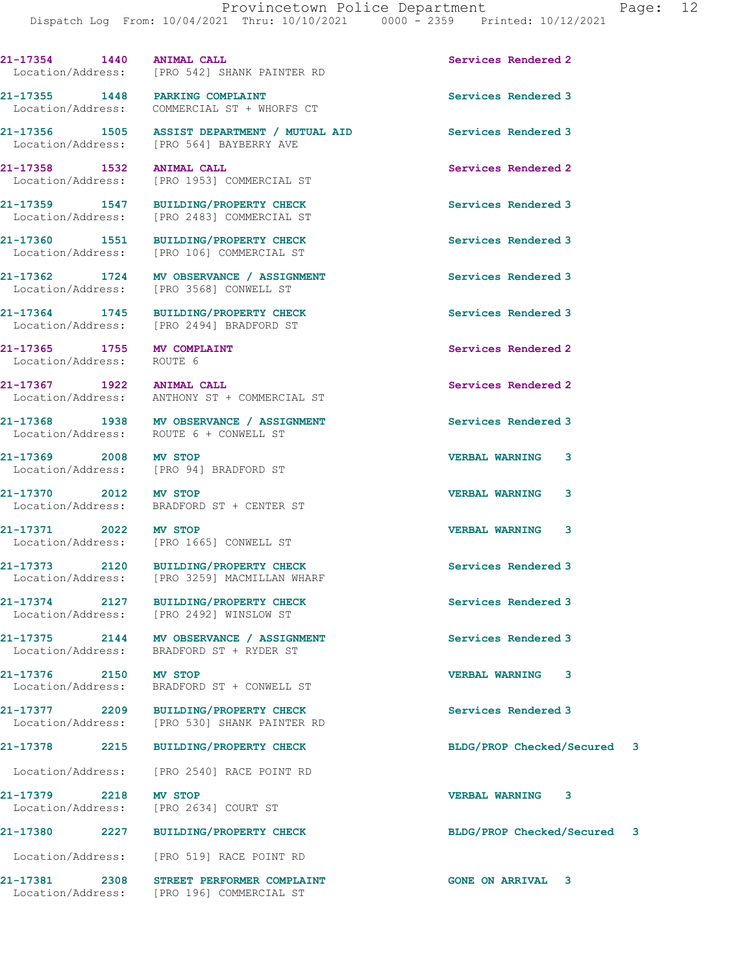21-17354 1440 ANIMAL CALL **Services Rendered 2** 

21-17355 1448 PARKING COMPLAINT Services Rendered 3

21-17356 1505 ASSIST DEPARTMENT / MUTUAL AID Services Rendered 3

Location/Address: [PRO 542] SHANK PAINTER RD

Location/Address: COMMERCIAL ST + WHORFS CT

 Location/Address: [PRO 564] BAYBERRY AVE 21-17358 1532 ANIMAL CALL Services Rendered 2 Location/Address: [PRO 1953] COMMERCIAL ST 21-17359 1547 BUILDING/PROPERTY CHECK Services Rendered 3 Location/Address: [PRO 2483] COMMERCIAL ST 21-17360 1551 BUILDING/PROPERTY CHECK Services Rendered 3 Location/Address: [PRO 106] COMMERCIAL ST 21-17362 1724 MV OBSERVANCE / ASSIGNMENT Services Rendered 3<br>
Location/Address: [PRO 3568] CONWELL ST [PRO 3568] CONWELL ST 21-17364 1745 BUILDING/PROPERTY CHECK Services Rendered 3 Location/Address: [PRO 2494] BRADFORD ST 21-17365 1755 MV COMPLAINT Services Rendered 2 Location/Address: ROUTE 6 21-17367 1922 ANIMAL CALL Services Rendered 2 Location/Address: ANTHONY ST + COMMERCIAL ST 21-17368 1938 MV OBSERVANCE / ASSIGNMENT Services Rendered 3 Location/Address: ROUTE 6 + CONWELL ST 21-17369 2008 MV STOP VERBAL WARNING 3 Location/Address: [PRO 94] BRADFORD ST 21-17370 2012 MV STOP<br>
Location/Address: BRADFORD ST + CENTER ST BRADFORD ST + CENTER ST 21-17371 2022 MV STOP VERBAL WARNING 3 Location/Address: [PRO 1665] CONWELL ST 21-17373 2120 BUILDING/PROPERTY CHECK Services Rendered 3 Location/Address: [PRO 3259] MACMILLAN WHARF 21-17374 2127 BUILDING/PROPERTY CHECK Services Rendered 3 Location/Address: [PRO 2492] WINSLOW ST 21-17375 2144 MV OBSERVANCE / ASSIGNMENT Services Rendered 3 Location/Address: BRADFORD ST + RYDER ST 21-17376 2150 MV STOP VERBAL WARNING 3 Location/Address: BRADFORD ST + CONWELL ST 21-17377 2209 BUILDING/PROPERTY CHECK Services Rendered 3 Location/Address: [PRO 530] SHANK PAINTER RD 21-17378 2215 BUILDING/PROPERTY CHECK BLDG/PROP Checked/Secured 3 Location/Address: [PRO 2540] RACE POINT RD 21-17379 2218 MV STOP VERBAL WARNING 3 Location/Address: [PRO 2634] COURT ST 21-17380 2227 BUILDING/PROPERTY CHECK BLDG/PROP Checked/Secured 3 Location/Address: [PRO 519] RACE POINT RD 21-17381 2308 STREET PERFORMER COMPLAINT GONE ON ARRIVAL 3 Location/Address: [PRO 196] COMMERCIAL ST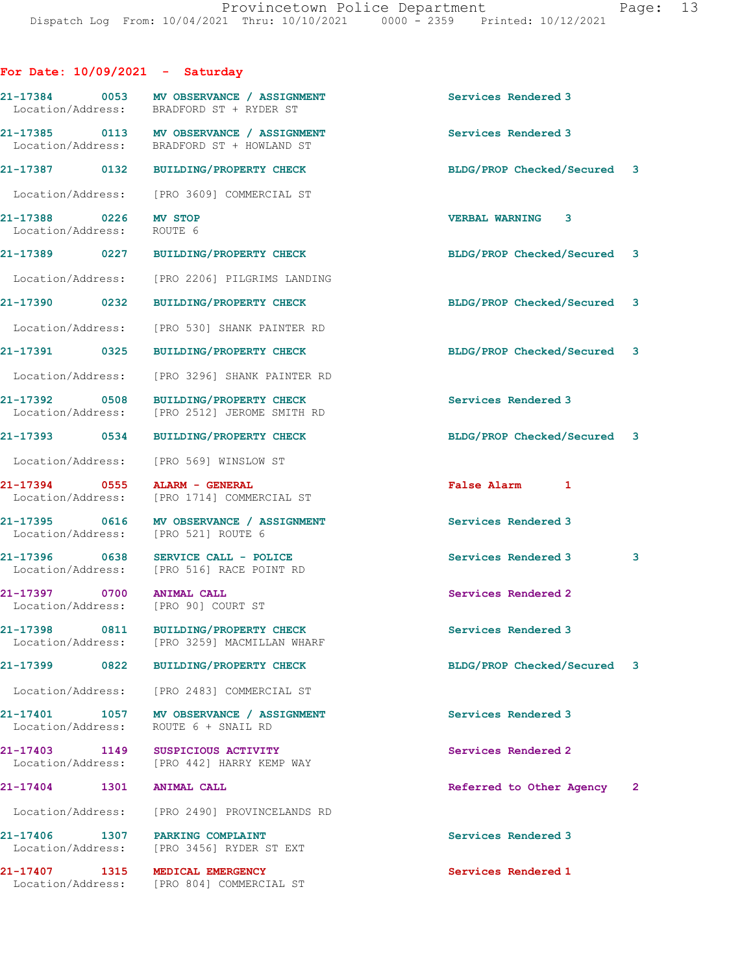| For Date: $10/09/2021$ - Saturday                    |                                                                                        |                             |              |
|------------------------------------------------------|----------------------------------------------------------------------------------------|-----------------------------|--------------|
|                                                      | 21-17384 0053 MV OBSERVANCE / ASSIGNMENT<br>Location/Address: BRADFORD ST + RYDER ST   | <b>Services Rendered 3</b>  |              |
|                                                      | 21-17385 0113 MV OBSERVANCE / ASSIGNMENT<br>Location/Address: BRADFORD ST + HOWLAND ST | Services Rendered 3         |              |
|                                                      | 21-17387 0132 BUILDING/PROPERTY CHECK                                                  | BLDG/PROP Checked/Secured 3 |              |
|                                                      | Location/Address: [PRO 3609] COMMERCIAL ST                                             |                             |              |
| 21-17388 0226 MV STOP<br>Location/Address: ROUTE 6   |                                                                                        | <b>VERBAL WARNING 3</b>     |              |
|                                                      | 21-17389 0227 BUILDING/PROPERTY CHECK                                                  | BLDG/PROP Checked/Secured 3 |              |
|                                                      | Location/Address: [PRO 2206] PILGRIMS LANDING                                          |                             |              |
| 21-17390 0232                                        | BUILDING/PROPERTY CHECK                                                                | BLDG/PROP Checked/Secured 3 |              |
|                                                      | Location/Address: [PRO 530] SHANK PAINTER RD                                           |                             |              |
| 21-17391 0325                                        | BUILDING/PROPERTY CHECK                                                                | BLDG/PROP Checked/Secured 3 |              |
|                                                      | Location/Address: [PRO 3296] SHANK PAINTER RD                                          |                             |              |
|                                                      | 21-17392 0508 BUILDING/PROPERTY CHECK<br>Location/Address: [PRO 2512] JEROME SMITH RD  | Services Rendered 3         |              |
| 21-17393 0534                                        | BUILDING/PROPERTY CHECK                                                                | BLDG/PROP Checked/Secured 3 |              |
|                                                      | Location/Address: [PRO 569] WINSLOW ST                                                 |                             |              |
| 21-17394 0555                                        | ALARM - GENERAL<br>Location/Address: [PRO 1714] COMMERCIAL ST                          | False Alarm 1               |              |
| Location/Address: [PRO 521] ROUTE 6                  | 21-17395 0616 MV OBSERVANCE / ASSIGNMENT                                               | Services Rendered 3         |              |
| 21-17396 0638                                        | SERVICE CALL - POLICE<br>Location/Address: [PRO 516] RACE POINT RD                     | Services Rendered 3         | $\mathbf{3}$ |
| 21-17397 0700<br>Location/Address: [PRO 90] COURT ST | <b>ANIMAL CALL</b>                                                                     | Services Rendered 2         |              |
| 21-17398 0811                                        | <b>BUILDING/PROPERTY CHECK</b><br>Location/Address: [PRO 3259] MACMILLAN WHARF         | Services Rendered 3         |              |
| 21-17399 0822                                        | <b>BUILDING/PROPERTY CHECK</b>                                                         | BLDG/PROP Checked/Secured 3 |              |
| Location/Address:                                    | [PRO 2483] COMMERCIAL ST                                                               |                             |              |
| 21-17401 1057<br>Location/Address:                   | MV OBSERVANCE / ASSIGNMENT<br>ROUTE 6 + SNAIL RD                                       | Services Rendered 3         |              |
| 21-17403 1149                                        | SUSPICIOUS ACTIVITY<br>Location/Address: [PRO 442] HARRY KEMP WAY                      | Services Rendered 2         |              |
| 21-17404<br>1301                                     | <b>ANIMAL CALL</b>                                                                     | Referred to Other Agency 2  |              |
|                                                      | Location/Address: [PRO 2490] PROVINCELANDS RD                                          |                             |              |
| 21-17406 1307                                        | PARKING COMPLAINT<br>Location/Address: [PRO 3456] RYDER ST EXT                         | Services Rendered 3         |              |
| 21-17407 1315                                        | MEDICAL EMERGENCY<br>Location/Address: [PRO 804] COMMERCIAL ST                         | Services Rendered 1         |              |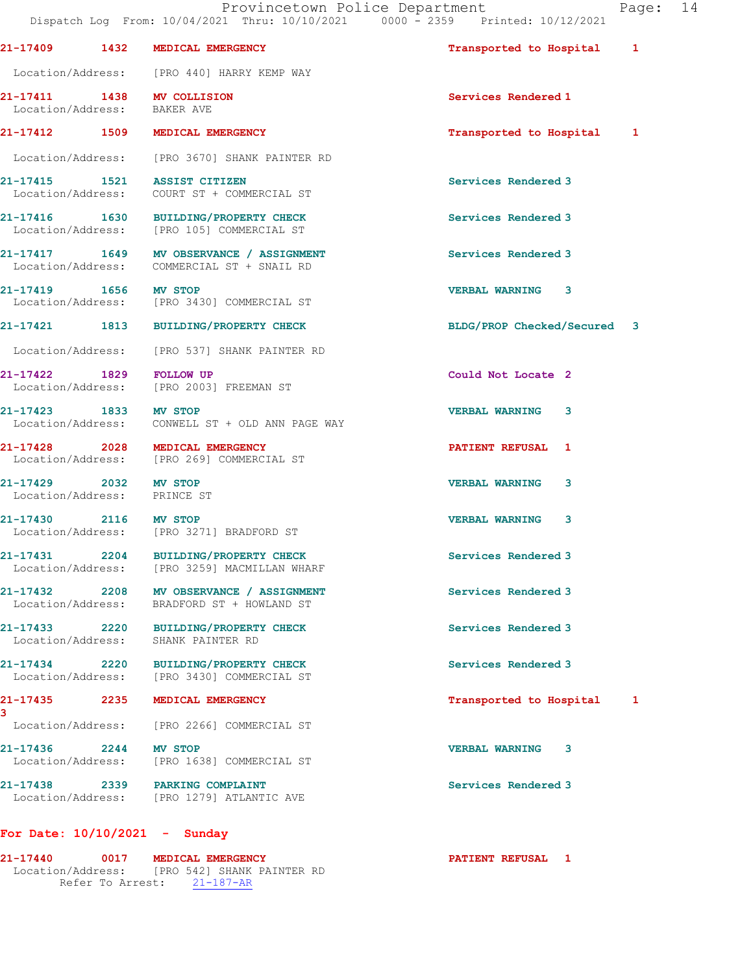Dispatch Log From: 10/04/2021 Thru: 10/10/2021 0000 - 2359 Printed: 10/12/2021 21-17409 1432 MEDICAL EMERGENCY Transported to Hospital 1 Location/Address: [PRO 440] HARRY KEMP WAY 21-17411 1438 MV COLLISION Services Rendered 1<br>
Location/Address: BAKER AVE Location/Address: 21-17412 1509 MEDICAL EMERGENCY Transported to Hospital 1 Location/Address: [PRO 3670] SHANK PAINTER RD 21-17415 1521 ASSIST CITIZEN Services Rendered 3 Location/Address: COURT ST + COMMERCIAL ST 21-17416 1630 BUILDING/PROPERTY CHECK Services Rendered 3 Location/Address: [PRO 105] COMMERCIAL ST 21-17417 1649 MV OBSERVANCE / ASSIGNMENT Services Rendered 3 Location/Address: COMMERCIAL ST + SNAIL RD 21-17419 1656 MV STOP VERBAL WARNING 3 Location/Address: [PRO 3430] COMMERCIAL ST 21-17421 1813 BUILDING/PROPERTY CHECK BLDG/PROP Checked/Secured 3 Location/Address: [PRO 537] SHANK PAINTER RD 21-17422 1829 FOLLOW UP Could Not Locate 2<br>
Location/Address: [PRO 2003] FREEMAN ST [PRO 2003] FREEMAN ST 21-17423 1833 MV STOP VERBAL WARNING 3 Location/Address: CONWELL ST + OLD ANN PAGE WAY 21-17428 2028 MEDICAL EMERGENCY **PATIENT REFUSAL** 1 Location/Address: [PRO 269] COMMERCIAL ST 21-17429 2032 MV STOP VERBAL WARNING 3 Location/Address: PRINCE ST 21-17430 2116 MV STOP VERBAL WARNING 3 Location/Address: [PRO 3271] BRADFORD ST 21-17431 2204 BUILDING/PROPERTY CHECK Services Rendered 3 Location/Address: [PRO 3259] MACMILLAN WHARF 21-17432 2208 MV OBSERVANCE / ASSIGNMENT Services Rendered 3 Location/Address: BRADFORD ST + HOWLAND ST 21-17433 2220 BUILDING/PROPERTY CHECK Services Rendered 3 Location/Address: SHANK PAINTER RD 21-17434 2220 BUILDING/PROPERTY CHECK Services Rendered 3 Location/Address: [PRO 3430] COMMERCIAL ST 21-17435 2235 MEDICAL EMERGENCY Transported to Hospital 1 Location/Address: [PRO 2266] COMMERCIAL ST 21-17436 2244 MV STOP VERBAL WARNING 3 Location/Address: [PRO 1638] COMMERCIAL ST 21-17438 2339 PARKING COMPLAINT **Services Rendered** 3 Location/Address: [PRO 1279] ATLANTIC AVE

## For Date: 10/10/2021 - Sunday

3

21-17440 0017 MEDICAL EMERGENCY PATIENT REFUSAL 1 Location/Address: [PRO 542] SHANK PAINTER RD Refer To Arrest: 21-187-AR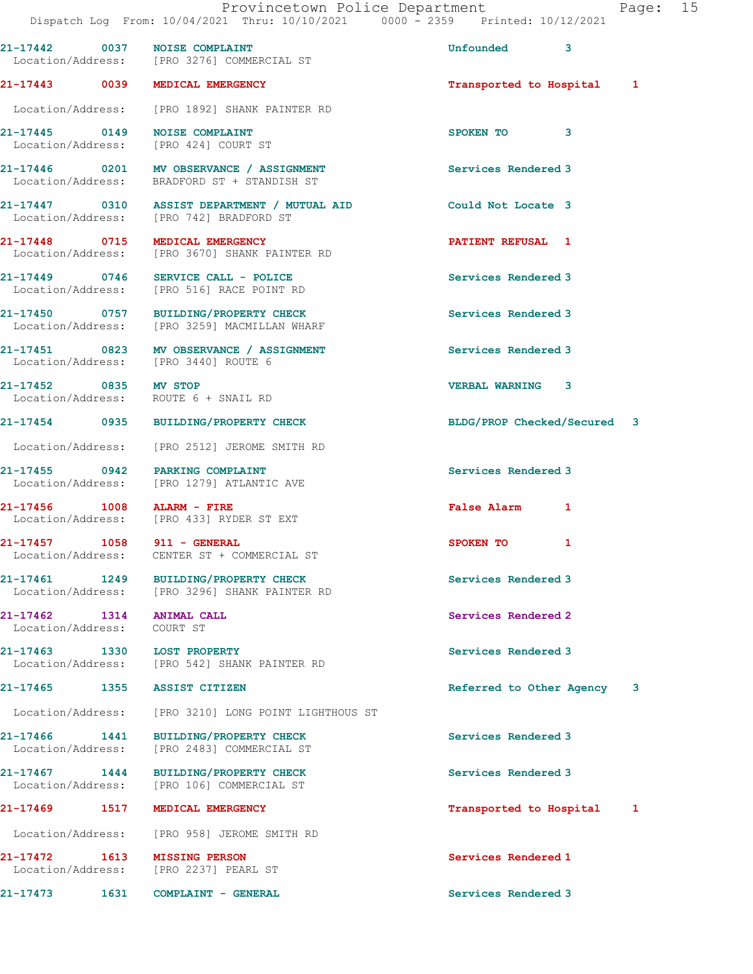Provincetown Police Department Fage: 15 Dispatch Log From: 10/04/2021 Thru: 10/10/2021 0000 - 2359 Printed: 10/12/2021 21-17442 0037 NOISE COMPLAINT 21-17442 0037 3 Location/Address: [PRO 3276] COMMERCIAL ST 21-17443 0039 MEDICAL EMERGENCY Transported to Hospital 1 Location/Address: [PRO 1892] SHANK PAINTER RD 21-17445 0149 NOISE COMPLAINT SPOKEN TO 3 Location/Address: [PRO 424] COURT ST 21-17446 0201 MV OBSERVANCE / ASSIGNMENT Services Rendered 3 Location/Address: BRADFORD ST + STANDISH ST 21-17447 0310 ASSIST DEPARTMENT / MUTUAL AID Could Not Locate 3 Location/Address: [PRO 742] BRADFORD ST 21-17448 0715 MEDICAL EMERGENCY **120 CONTRACT CONTRACT AND ACCOM**  Location/Address: [PRO 3670] SHANK PAINTER RD 21-17449 0746 SERVICE CALL - POLICE 21-17449 Services Rendered 3 Location/Address: [PRO 516] RACE POINT RD 21-17450 0757 BUILDING/PROPERTY CHECK Services Rendered 3 Location/Address: [PRO 3259] MACMILLAN WHARF 21-17451 0823 MV OBSERVANCE / ASSIGNMENT Services Rendered 3 Location/Address: [PRO 3440] ROUTE 6 21-17452 0835 MV STOP VERBAL WARNING 3 Location/Address: ROUTE 6 + SNAIL RD 21-17454 0935 BUILDING/PROPERTY CHECK BLDG/PROP Checked/Secured 3 Location/Address: [PRO 2512] JEROME SMITH RD 21-17455 0942 PARKING COMPLAINT Services Rendered 3 Location/Address: [PRO 1279] ATLANTIC AVE 21-17456 1008 ALARM - FIRE 1008 False Alarm 1<br>
Location/Address: [PRO 433] RYDER ST EXT Location/Address: [PRO 433] RYDER ST EXT 21-17457 1058 911 - GENERAL SPOKEN TO 1 Location/Address: CENTER ST + COMMERCIAL ST 21-17461 1249 BUILDING/PROPERTY CHECK Services Rendered 3 Location/Address: [PRO 3296] SHANK PAINTER RD 21-17462 1314 ANIMAL CALL Services Rendered 2 Location/Address: COURT ST 21-17463 1330 LOST PROPERTY Services Rendered 3 Location/Address: [PRO 542] SHANK PAINTER RD 21-17465 1355 ASSIST CITIZEN **120 CONTACT REFERITED** Referred to Other Agency 3 Location/Address: [PRO 3210] LONG POINT LIGHTHOUS ST 21-17466 1441 BUILDING/PROPERTY CHECK Services Rendered 3 Location/Address: [PRO 2483] COMMERCIAL ST 21-17467 1444 BUILDING/PROPERTY CHECK Services Rendered 3 Location/Address: [PRO 106] COMMERCIAL ST 21-17469 1517 MEDICAL EMERGENCY Transported to Hospital 1 Location/Address: [PRO 958] JEROME SMITH RD 21-17472 1613 MISSING PERSON Services Rendered 1 Location/Address: [PRO 2237] PEARL ST 21-17473 1631 COMPLAINT - GENERAL Services Rendered 3